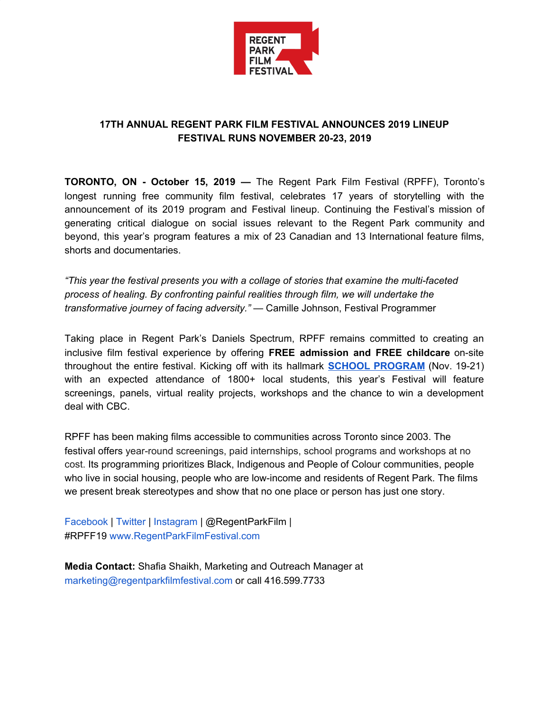

## **17TH ANNUAL REGENT PARK FILM FESTIVAL ANNOUNCES 2019 LINEUP FESTIVAL RUNS NOVEMBER 20-23, 2019**

**TORONTO, ON - October 15, 2019 —** The Regent Park Film Festival (RPFF), Toronto's longest running free community film festival, celebrates 17 years of storytelling with the announcement of its 2019 program and Festival lineup. Continuing the Festival's mission of generating critical dialogue on social issues relevant to the Regent Park community and beyond, this year's program features a mix of 23 Canadian and 13 International feature films, shorts and documentaries.

*"This year the festival presents you with a collage of stories that examine the multi-faceted process of healing. By confronting painful realities through film, we will undertake the transformative journey of facing adversity."* — Camille Johnson, Festival Programmer

Taking place in Regent Park's Daniels Spectrum, RPFF remains committed to creating an inclusive film festival experience by offering **FREE admission and FREE childcare** on-site throughout the entire festival. Kicking off with its hallmark **SCHOOL [PROGRAM](http://regentparkfilmfestival.com/2019/#school-program)** (Nov. 19-21) with an expected attendance of 1800+ local students, this year's Festival will feature screenings, panels, virtual reality projects, workshops and the chance to win a development deal with CBC.

RPFF has been making films accessible to communities across Toronto since 2003. The festival offers year-round screenings, paid internships, school programs and workshops at no cost. Its programming prioritizes Black, Indigenous and People of Colour communities, people who live in social housing, people who are low-income and residents of Regent Park. The films we present break stereotypes and show that no one place or person has just one story.

Facebook | Twitter | Instagram | @RegentParkFilm | #RPFF19 www.RegentParkFilmFestival.com

**Media Contact:** Shafia Shaikh, Marketing and Outreach Manager at marketing@regentparkfilmfestival.com or call 416.599.7733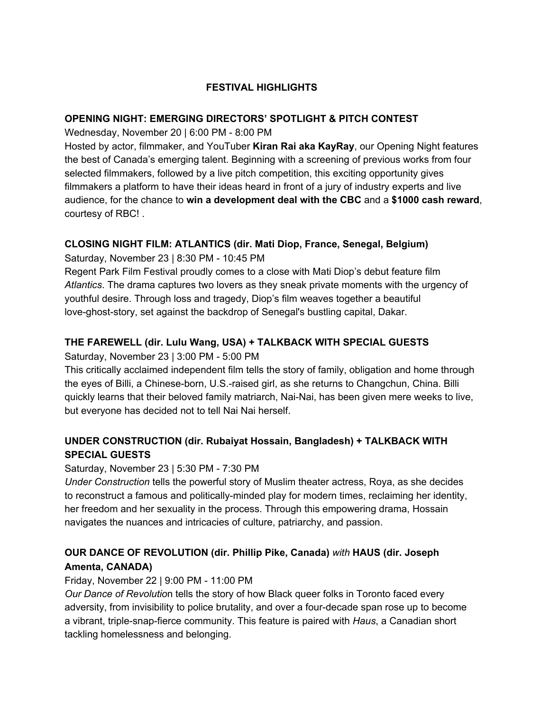### **FESTIVAL HIGHLIGHTS**

#### **OPENING NIGHT: EMERGING DIRECTORS' SPOTLIGHT & PITCH CONTEST**

Wednesday, November 20 | 6:00 PM - 8:00 PM

Hosted by actor, filmmaker, and YouTuber **Kiran Rai aka KayRay**, our Opening Night features the best of Canada's emerging talent. Beginning with a screening of previous works from four selected filmmakers, followed by a live pitch competition, this exciting opportunity gives filmmakers a platform to have their ideas heard in front of a jury of industry experts and live audience, for the chance to **win a development deal with the CBC** and a **\$1000 cash reward**, courtesy of RBC! .

# **CLOSING NIGHT FILM: ATLANTICS (dir. Mati Diop, France, Senegal, Belgium)**

Saturday, November 23 | 8:30 PM - 10:45 PM

Regent Park Film Festival proudly comes to a close with Mati Diop's debut feature film *Atlantics*. The drama captures two lovers as they sneak private moments with the urgency of youthful desire. Through loss and tragedy, Diop's film weaves together a beautiful love-ghost-story, set against the backdrop of Senegal's bustling capital, Dakar.

### **THE FAREWELL (dir. Lulu Wang, USA) + TALKBACK WITH SPECIAL GUESTS**

#### Saturday, November 23 | 3:00 PM - 5:00 PM

This critically acclaimed independent film tells the story of family, obligation and home through the eyes of Billi, a Chinese-born, U.S.-raised girl, as she returns to Changchun, China. Billi quickly learns that their beloved family matriarch, Nai-Nai, has been given mere weeks to live, but everyone has decided not to tell Nai Nai herself.

# **UNDER CONSTRUCTION (dir. Rubaiyat Hossain, Bangladesh) + TALKBACK WITH SPECIAL GUESTS**

#### Saturday, November 23 | 5:30 PM - 7:30 PM

*Under Construction* tells the powerful story of Muslim theater actress, Roya, as she decides to reconstruct a famous and politically-minded play for modern times, reclaiming her identity, her freedom and her sexuality in the process. Through this empowering drama, Hossain navigates the nuances and intricacies of culture, patriarchy, and passion.

# **OUR DANCE OF REVOLUTION (dir. Phillip Pike, Canada)** *with* **HAUS (dir. Joseph Amenta, CANADA)**

#### Friday, November 22 | 9:00 PM - 11:00 PM

*Our Dance of Revolutio*n tells the story of how Black queer folks in Toronto faced every adversity, from invisibility to police brutality, and over a four-decade span rose up to become a vibrant, triple-snap-fierce community. This feature is paired with *Haus*, a Canadian short tackling homelessness and belonging.